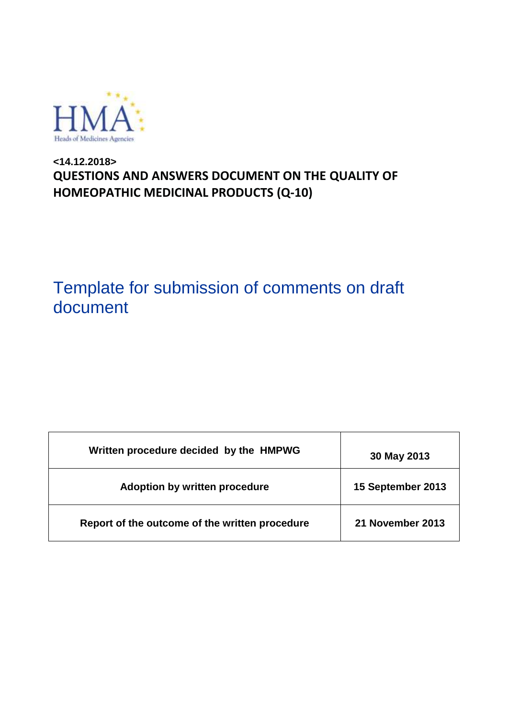

### **<14.12.2018> QUESTIONS AND ANSWERS DOCUMENT ON THE QUALITY OF HOMEOPATHIC MEDICINAL PRODUCTS (Q-10)**

# Template for submission of comments on draft document

| Written procedure decided by the HMPWG         | 30 May 2013       |
|------------------------------------------------|-------------------|
| <b>Adoption by written procedure</b>           | 15 September 2013 |
| Report of the outcome of the written procedure | 21 November 2013  |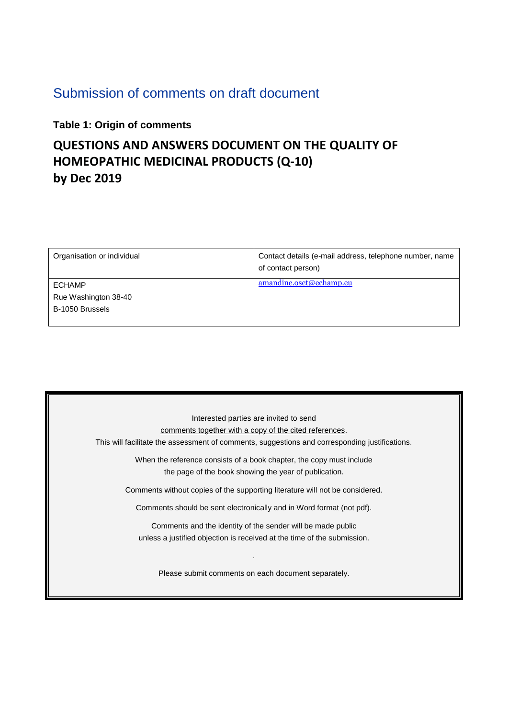## Submission of comments on draft document

#### **Table 1: Origin of comments**

## **QUESTIONS AND ANSWERS DOCUMENT ON THE QUALITY OF HOMEOPATHIC MEDICINAL PRODUCTS (Q-10) by Dec 2019**

| Organisation or individual                               | Contact details (e-mail address, telephone number, name<br>of contact person) |
|----------------------------------------------------------|-------------------------------------------------------------------------------|
| <b>ECHAMP</b><br>Rue Washington 38-40<br>B-1050 Brussels | amandine.oset@echamp.eu                                                       |

| Interested parties are invited to send                                                         |  |  |
|------------------------------------------------------------------------------------------------|--|--|
| comments together with a copy of the cited references.                                         |  |  |
| This will facilitate the assessment of comments, suggestions and corresponding justifications. |  |  |
| When the reference consists of a book chapter, the copy must include                           |  |  |
| the page of the book showing the year of publication.                                          |  |  |
| Comments without copies of the supporting literature will not be considered.                   |  |  |
| Comments should be sent electronically and in Word format (not pdf).                           |  |  |
| Comments and the identity of the sender will be made public                                    |  |  |
| unless a justified objection is received at the time of the submission.                        |  |  |
| Please submit comments on each document separately.                                            |  |  |
|                                                                                                |  |  |